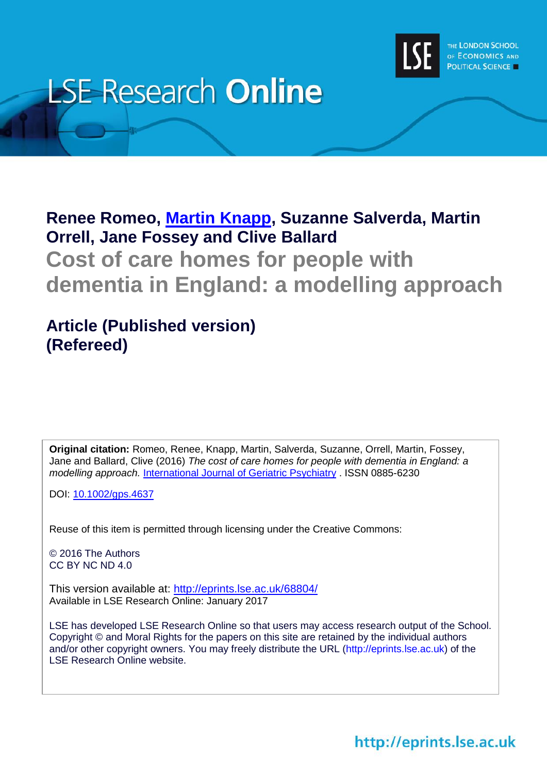

# **LSE Research Online**

**Renee Romeo, [Martin Knapp,](mailto:http://www.lse.ac.uk/researchAndExpertise/Experts/profile.aspx?KeyValue=m.knapp@lse.ac.uk) Suzanne Salverda, Martin Orrell, Jane Fossey and Clive Ballard Cost of care homes for people with dementia in England: a modelling approach**

# **Article (Published version) (Refereed)**

**Original citation:** Romeo, Renee, Knapp, Martin, Salverda, Suzanne, Orrell, Martin, Fossey, Jane and Ballard, Clive (2016) *The cost of care homes for people with dementia in England: a modelling approach.* [International Journal of Geriatric Psychiatry](mailto:http://onlinelibrary.wiley.com/journal/10.1002/(ISSN)1099-1166/) . ISSN 0885-6230

DOI: [10.1002/gps.4637](mailto:http://dx.doi.org/10.1002/gps.4637)

Reuse of this item is permitted through licensing under the Creative Commons:

© 2016 The Authors CC BY NC ND 4.0

This version available at: <http://eprints.lse.ac.uk/68804/> Available in LSE Research Online: January 2017

LSE has developed LSE Research Online so that users may access research output of the School. Copyright © and Moral Rights for the papers on this site are retained by the individual authors and/or other copyright owners. You may freely distribute the URL (http://eprints.lse.ac.uk) of the LSE Research Online website.

http://eprints.lse.ac.uk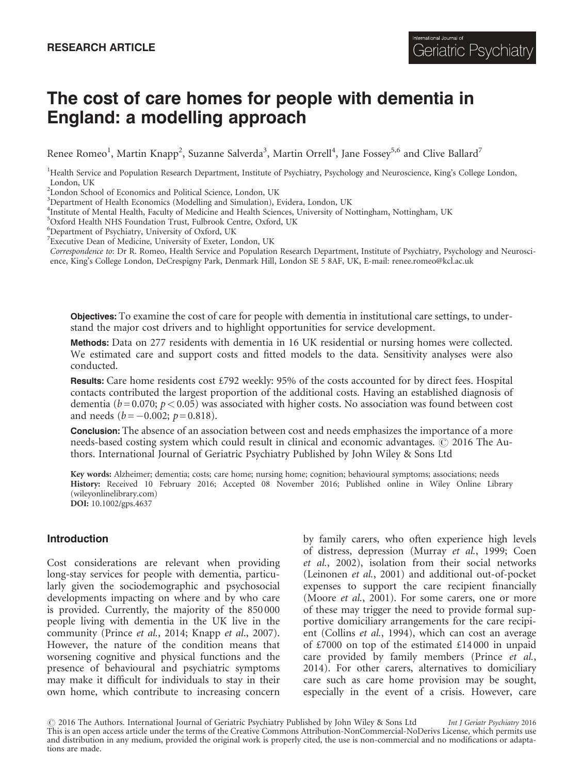# The cost of care homes for people with dementia in England: a modelling approach

Renee Romeo<sup>1</sup>, Martin Knapp<sup>2</sup>, Suzanne Salverda<sup>3</sup>, Martin Orrell<sup>4</sup>, Jane Fossey<sup>5,6</sup> and Clive Ballard<sup>7</sup>

<sup>1</sup>Health Service and Population Research Department, Institute of Psychiatry, Psychology and Neuroscience, King's College London, London, UK

<sup>2</sup>London School of Economics and Political Science, London, UK

<sup>3</sup>Department of Health Economics (Modelling and Simulation), Evidera, London, UK

<sup>4</sup>Institute of Mental Health, Faculty of Medicine and Health Sciences, University of Nottingham, Nottingham, UK

5 Oxford Health NHS Foundation Trust, Fulbrook Centre, Oxford, UK

6 Department of Psychiatry, University of Oxford, UK

<sup>7</sup> Executive Dean of Medicine, University of Exeter, London, UK

Correspondence to: Dr R. Romeo, Health Service and Population Research Department, Institute of Psychiatry, Psychology and Neuroscience, King's College London, DeCrespigny Park, Denmark Hill, London SE 5 8AF, UK, E-mail: renee.romeo@kcl.ac.uk

Objectives: To examine the cost of care for people with dementia in institutional care settings, to understand the major cost drivers and to highlight opportunities for service development.

Methods: Data on 277 residents with dementia in 16 UK residential or nursing homes were collected. We estimated care and support costs and fitted models to the data. Sensitivity analyses were also conducted.

Results: Care home residents cost £792 weekly: 95% of the costs accounted for by direct fees. Hospital contacts contributed the largest proportion of the additional costs. Having an established diagnosis of dementia ( $b = 0.070$ ;  $p < 0.05$ ) was associated with higher costs. No association was found between cost and needs ( $b = -0.002$ ;  $p = 0.818$ ).

**Conclusion:** The absence of an association between cost and needs emphasizes the importance of a more needs-based costing system which could result in clinical and economic advantages.  $\odot$  2016 The Authors. International Journal of Geriatric Psychiatry Published by John Wiley & Sons Ltd

Key words: Alzheimer; dementia; costs; care home; nursing home; cognition; behavioural symptoms; associations; needs History: Received 10 February 2016; Accepted 08 November 2016; Published online in Wiley Online Library (wileyonlinelibrary.com) DOI: 10.1002/gps.4637

# Introduction

Cost considerations are relevant when providing long-stay services for people with dementia, particularly given the sociodemographic and psychosocial developments impacting on where and by who care is provided. Currently, the majority of the 850 000 people living with dementia in the UK live in the community (Prince et al., 2014; Knapp et al., 2007). However, the nature of the condition means that worsening cognitive and physical functions and the presence of behavioural and psychiatric symptoms may make it difficult for individuals to stay in their own home, which contribute to increasing concern by family carers, who often experience high levels of distress, depression (Murray et al., 1999; Coen et al., 2002), isolation from their social networks (Leinonen et al., 2001) and additional out-of-pocket expenses to support the care recipient financially (Moore et al., 2001). For some carers, one or more of these may trigger the need to provide formal supportive domiciliary arrangements for the care recipient (Collins et al., 1994), which can cost an average of £7000 on top of the estimated £14 000 in unpaid care provided by family members (Prince et al., 2014). For other carers, alternatives to domiciliary care such as care home provision may be sought, especially in the event of a crisis. However, care

© 2016 The Authors. International Journal of Geriatric Psychiatry Published by John Wiley & Sons Ltd Int J Geriatr Psychiatry 2016 This is an open access article under the terms of the [Creative Commons Attribution-NonCommercial-NoDerivs](http://creativecommons.org/licenses/by-nc-nd/4.0/) License, which permits use and distribution in any medium, provided the original work is properly cited, the use is non-commercial and no modifications or adaptations are made.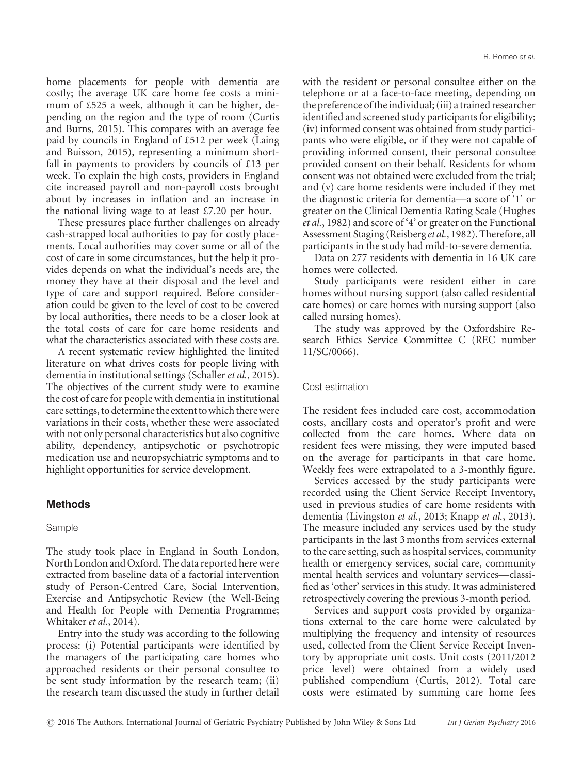home placements for people with dementia are costly; the average UK care home fee costs a minimum of £525 a week, although it can be higher, depending on the region and the type of room (Curtis and Burns, 2015). This compares with an average fee paid by councils in England of £512 per week (Laing and Buisson, 2015), representing a minimum shortfall in payments to providers by councils of £13 per week. To explain the high costs, providers in England cite increased payroll and non-payroll costs brought about by increases in inflation and an increase in the national living wage to at least £7.20 per hour.

These pressures place further challenges on already cash-strapped local authorities to pay for costly placements. Local authorities may cover some or all of the cost of care in some circumstances, but the help it provides depends on what the individual's needs are, the money they have at their disposal and the level and type of care and support required. Before consideration could be given to the level of cost to be covered by local authorities, there needs to be a closer look at the total costs of care for care home residents and what the characteristics associated with these costs are.

A recent systematic review highlighted the limited literature on what drives costs for people living with dementia in institutional settings (Schaller et al., 2015). The objectives of the current study were to examine the cost of care for people with dementia in institutional care settings, to determine the extent towhich therewere variations in their costs, whether these were associated with not only personal characteristics but also cognitive ability, dependency, antipsychotic or psychotropic medication use and neuropsychiatric symptoms and to highlight opportunities for service development.

#### Methods

#### Sample

The study took place in England in South London, North London and Oxford. The data reported here were extracted from baseline data of a factorial intervention study of Person-Centred Care, Social Intervention, Exercise and Antipsychotic Review (the Well-Being and Health for People with Dementia Programme; Whitaker et al., 2014).

Entry into the study was according to the following process: (i) Potential participants were identified by the managers of the participating care homes who approached residents or their personal consultee to be sent study information by the research team; (ii) the research team discussed the study in further detail

with the resident or personal consultee either on the telephone or at a face-to-face meeting, depending on the preference of the individual; (iii) a trained researcher identified and screened study participants for eligibility; (iv) informed consent was obtained from study participants who were eligible, or if they were not capable of providing informed consent, their personal consultee provided consent on their behalf. Residents for whom consent was not obtained were excluded from the trial; and (v) care home residents were included if they met the diagnostic criteria for dementia—a score of '1' or greater on the Clinical Dementia Rating Scale (Hughes et al., 1982) and score of '4' or greater on the Functional Assessment Staging (Reisberg et al., 1982). Therefore, all participants in the study had mild-to-severe dementia.

Data on 277 residents with dementia in 16 UK care homes were collected.

Study participants were resident either in care homes without nursing support (also called residential care homes) or care homes with nursing support (also called nursing homes).

The study was approved by the Oxfordshire Research Ethics Service Committee C (REC number 11/SC/0066).

#### Cost estimation

The resident fees included care cost, accommodation costs, ancillary costs and operator's profit and were collected from the care homes. Where data on resident fees were missing, they were imputed based on the average for participants in that care home. Weekly fees were extrapolated to a 3-monthly figure.

Services accessed by the study participants were recorded using the Client Service Receipt Inventory, used in previous studies of care home residents with dementia (Livingston et al., 2013; Knapp et al., 2013). The measure included any services used by the study participants in the last 3months from services external to the care setting, such as hospital services, community health or emergency services, social care, community mental health services and voluntary services—classified as 'other' services in this study. It was administered retrospectively covering the previous 3-month period.

Services and support costs provided by organizations external to the care home were calculated by multiplying the frequency and intensity of resources used, collected from the Client Service Receipt Inventory by appropriate unit costs. Unit costs (2011/2012 price level) were obtained from a widely used published compendium (Curtis, 2012). Total care costs were estimated by summing care home fees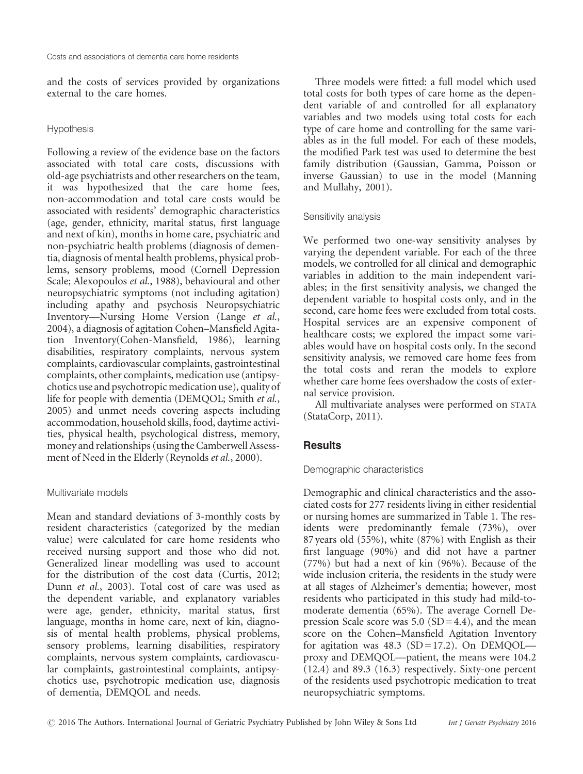and the costs of services provided by organizations external to the care homes.

#### Hypothesis

Following a review of the evidence base on the factors associated with total care costs, discussions with old-age psychiatrists and other researchers on the team, it was hypothesized that the care home fees, non-accommodation and total care costs would be associated with residents' demographic characteristics (age, gender, ethnicity, marital status, first language and next of kin), months in home care, psychiatric and non-psychiatric health problems (diagnosis of dementia, diagnosis of mental health problems, physical problems, sensory problems, mood (Cornell Depression Scale; Alexopoulos et al., 1988), behavioural and other neuropsychiatric symptoms (not including agitation) including apathy and psychosis Neuropsychiatric Inventory—Nursing Home Version (Lange et al., 2004), a diagnosis of agitation Cohen–Mansfield Agitation Inventory(Cohen-Mansfield, 1986), learning disabilities, respiratory complaints, nervous system complaints, cardiovascular complaints, gastrointestinal complaints, other complaints, medication use (antipsychotics use and psychotropic medication use), quality of life for people with dementia (DEMQOL; Smith et al., 2005) and unmet needs covering aspects including accommodation, household skills, food, daytime activities, physical health, psychological distress, memory, money and relationships (using the Camberwell Assessment of Need in the Elderly (Reynolds et al., 2000).

# Multivariate models

Mean and standard deviations of 3-monthly costs by resident characteristics (categorized by the median value) were calculated for care home residents who received nursing support and those who did not. Generalized linear modelling was used to account for the distribution of the cost data (Curtis, 2012; Dunn et al., 2003). Total cost of care was used as the dependent variable, and explanatory variables were age, gender, ethnicity, marital status, first language, months in home care, next of kin, diagnosis of mental health problems, physical problems, sensory problems, learning disabilities, respiratory complaints, nervous system complaints, cardiovascular complaints, gastrointestinal complaints, antipsychotics use, psychotropic medication use, diagnosis of dementia, DEMQOL and needs.

Three models were fitted: a full model which used total costs for both types of care home as the dependent variable of and controlled for all explanatory variables and two models using total costs for each type of care home and controlling for the same variables as in the full model. For each of these models, the modified Park test was used to determine the best family distribution (Gaussian, Gamma, Poisson or inverse Gaussian) to use in the model (Manning and Mullahy, 2001).

#### Sensitivity analysis

We performed two one-way sensitivity analyses by varying the dependent variable. For each of the three models, we controlled for all clinical and demographic variables in addition to the main independent variables; in the first sensitivity analysis, we changed the dependent variable to hospital costs only, and in the second, care home fees were excluded from total costs. Hospital services are an expensive component of healthcare costs; we explored the impact some variables would have on hospital costs only. In the second sensitivity analysis, we removed care home fees from the total costs and reran the models to explore whether care home fees overshadow the costs of external service provision.

All multivariate analyses were performed on STATA (StataCorp, 2011).

# **Results**

# Demographic characteristics

Demographic and clinical characteristics and the associated costs for 277 residents living in either residential or nursing homes are summarized in Table 1. The residents were predominantly female (73%), over 87 years old (55%), white (87%) with English as their first language (90%) and did not have a partner (77%) but had a next of kin (96%). Because of the wide inclusion criteria, the residents in the study were at all stages of Alzheimer's dementia; however, most residents who participated in this study had mild-tomoderate dementia (65%). The average Cornell Depression Scale score was  $5.0$  (SD = 4.4), and the mean score on the Cohen–Mansfield Agitation Inventory for agitation was  $48.3$  (SD = 17.2). On DEMQOL proxy and DEMQOL—patient, the means were 104.2 (12.4) and 89.3 (16.3) respectively. Sixty-one percent of the residents used psychotropic medication to treat neuropsychiatric symptoms.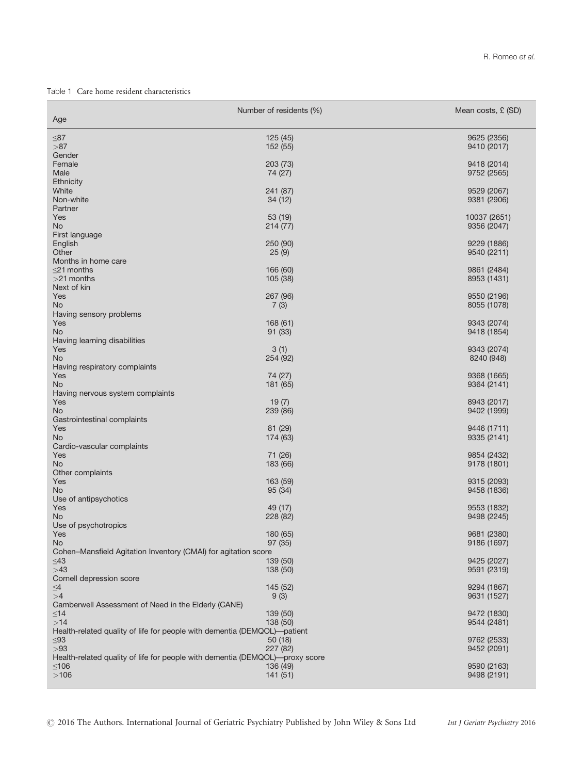# Table 1 Care home resident characteristics

|                                                                                        | Number of residents (%) | Mean costs, £ (SD)         |
|----------------------------------------------------------------------------------------|-------------------------|----------------------------|
| Age                                                                                    |                         |                            |
| $\leq$ 87                                                                              | 125 (45)                | 9625 (2356)                |
| > 87                                                                                   | 152 (55)                | 9410 (2017)                |
| Gender<br>Female                                                                       |                         |                            |
| Male                                                                                   | 203 (73)<br>74 (27)     | 9418 (2014)<br>9752 (2565) |
| Ethnicity                                                                              |                         |                            |
| White                                                                                  | 241 (87)                | 9529 (2067)                |
| Non-white<br>Partner                                                                   | 34 (12)                 | 9381 (2906)                |
| Yes                                                                                    | 53 (19)                 | 10037 (2651)               |
| No                                                                                     | 214 (77)                | 9356 (2047)                |
| First language                                                                         |                         |                            |
| English<br>Other                                                                       | 250 (90)<br>25(9)       | 9229 (1886)<br>9540 (2211) |
| Months in home care                                                                    |                         |                            |
| $\leq$ 21 months                                                                       | 166 (60)                | 9861 (2484)                |
| $>$ 21 months                                                                          | 105 (38)                | 8953 (1431)                |
| Next of kin<br>Yes                                                                     | 267 (96)                | 9550 (2196)                |
| No.                                                                                    | 7(3)                    | 8055 (1078)                |
| Having sensory problems                                                                |                         |                            |
| Yes                                                                                    | 168 (61)                | 9343 (2074)                |
| No<br>Having learning disabilities                                                     | 91 (33)                 | 9418 (1854)                |
| Yes                                                                                    | 3(1)                    | 9343 (2074)                |
| No.                                                                                    | 254 (92)                | 8240 (948)                 |
| Having respiratory complaints<br>Yes                                                   | 74 (27)                 | 9368 (1665)                |
| No                                                                                     | 181 (65)                | 9364 (2141)                |
| Having nervous system complaints                                                       |                         |                            |
| Yes                                                                                    | 19(7)                   | 8943 (2017)                |
| No.<br>Gastrointestinal complaints                                                     | 239 (86)                | 9402 (1999)                |
| Yes                                                                                    | 81 (29)                 | 9446 (1711)                |
| No                                                                                     | 174 (63)                | 9335 (2141)                |
| Cardio-vascular complaints                                                             |                         |                            |
| Yes<br>No.                                                                             | 71 (26)<br>183 (66)     | 9854 (2432)<br>9178 (1801) |
| Other complaints                                                                       |                         |                            |
| Yes                                                                                    | 163 (59)                | 9315 (2093)                |
| No<br>Use of antipsychotics                                                            | 95 (34)                 | 9458 (1836)                |
| Yes                                                                                    | 49 (17)                 | 9553 (1832)                |
| No.                                                                                    | 228 (82)                | 9498 (2245)                |
| Use of psychotropics                                                                   |                         |                            |
| Yes<br>No                                                                              | 180 (65)<br>97 (35)     | 9681 (2380)<br>9186 (1697) |
| Cohen-Mansfield Agitation Inventory (CMAI) for agitation score                         |                         |                            |
| $\leq 43$                                                                              | 139 (50)                | 9425 (2027)                |
| $>43$<br>Cornell depression score                                                      | 138 (50)                | 9591 (2319)                |
| ≤4                                                                                     | 145 (52)                | 9294 (1867)                |
| >4                                                                                     | 9(3)                    | 9631 (1527)                |
| Camberwell Assessment of Need in the Elderly (CANE)                                    |                         |                            |
| $\leq$ 14<br>>14                                                                       | 139 (50)<br>138 (50)    | 9472 (1830)<br>9544 (2481) |
| Health-related quality of life for people with dementia (DEMQOL)-patient               |                         |                            |
| $\leq 93$                                                                              | 50(18)                  | 9762 (2533)                |
| >93                                                                                    | 227 (82)                | 9452 (2091)                |
| Health-related quality of life for people with dementia (DEMQOL)—proxy score<br>$≤106$ | 136 (49)                | 9590 (2163)                |
| >106                                                                                   | 141(51)                 | 9498 (2191)                |
|                                                                                        |                         |                            |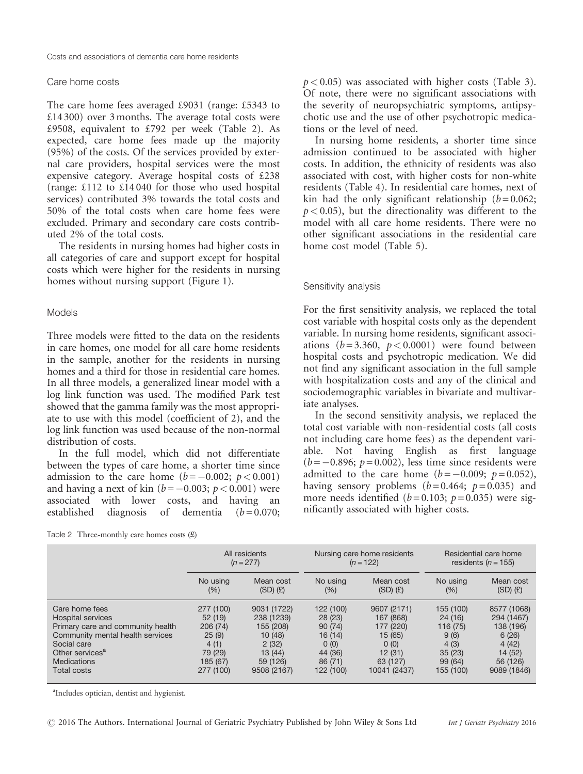#### Care home costs

The care home fees averaged £9031 (range: £5343 to £14 300) over 3months. The average total costs were £9508, equivalent to £792 per week (Table 2). As expected, care home fees made up the majority (95%) of the costs. Of the services provided by external care providers, hospital services were the most expensive category. Average hospital costs of £238 (range: £112 to £14 040 for those who used hospital services) contributed 3% towards the total costs and 50% of the total costs when care home fees were excluded. Primary and secondary care costs contributed 2% of the total costs.

The residents in nursing homes had higher costs in all categories of care and support except for hospital costs which were higher for the residents in nursing homes without nursing support (Figure 1).

#### Models

Three models were fitted to the data on the residents in care homes, one model for all care home residents in the sample, another for the residents in nursing homes and a third for those in residential care homes. In all three models, a generalized linear model with a log link function was used. The modified Park test showed that the gamma family was the most appropriate to use with this model (coefficient of 2), and the log link function was used because of the non-normal distribution of costs.

In the full model, which did not differentiate between the types of care home, a shorter time since admission to the care home  $(b=-0.002; p<0.001)$ and having a next of kin  $(b=-0.003; p<0.001)$  were associated with lower costs, and having an established diagnosis of dementia  $(b= 0.070;$ 

Table 2 Three-monthly care homes costs  $(\mathcal{L})$ 

 $p < 0.05$ ) was associated with higher costs (Table 3). Of note, there were no significant associations with the severity of neuropsychiatric symptoms, antipsychotic use and the use of other psychotropic medications or the level of need.

In nursing home residents, a shorter time since admission continued to be associated with higher costs. In addition, the ethnicity of residents was also associated with cost, with higher costs for non-white residents (Table 4). In residential care homes, next of kin had the only significant relationship  $(b= 0.062$ ;  $p < 0.05$ ), but the directionality was different to the model with all care home residents. There were no other significant associations in the residential care home cost model (Table 5).

#### Sensitivity analysis

For the first sensitivity analysis, we replaced the total cost variable with hospital costs only as the dependent variable. In nursing home residents, significant associations ( $b = 3.360$ ,  $p < 0.0001$ ) were found between hospital costs and psychotropic medication. We did not find any significant association in the full sample with hospitalization costs and any of the clinical and sociodemographic variables in bivariate and multivariate analyses.

In the second sensitivity analysis, we replaced the total cost variable with non-residential costs (all costs not including care home fees) as the dependent variable. Not having English as first language  $(b=-0.896; p= 0.002)$ , less time since residents were admitted to the care home  $(b=-0.009; p=0.052)$ , having sensory problems  $(b= 0.464; p= 0.035)$  and more needs identified ( $b = 0.103$ ;  $p = 0.035$ ) were significantly associated with higher costs.

|                                   | All residents |              | Nursing care home residents |              | Residential care home   |              |
|-----------------------------------|---------------|--------------|-----------------------------|--------------|-------------------------|--------------|
|                                   | $(n = 277)$   |              | $(n = 122)$                 |              | residents ( $n = 155$ ) |              |
|                                   | No using      | Mean cost    | No using                    | Mean cost    | No using                | Mean cost    |
|                                   | (% )          | $(SD)$ $(E)$ | $(\% )$                     | $(SD)$ $(E)$ | $(\% )$                 | $(SD)$ $(E)$ |
| Care home fees                    | 277 (100)     | 9031 (1722)  | 122 (100)                   | 9607 (2171)  | 155 (100)               | 8577 (1068)  |
| <b>Hospital services</b>          | 52(19)        | 238 (1239)   | 28 (23)                     | 167 (868)    | 24(16)                  | 294 (1467)   |
| Primary care and community health | 206 (74)      | 155 (208)    | 90(74)                      | 177 (220)    | 116(75)                 | 138 (196)    |
| Community mental health services  | 25(9)         | 10(48)       | 16(14)                      | 15(65)       | 9(6)                    | 6(26)        |
| Social care                       | 4(1)          | 2(32)        | 0(0)                        | 0(0)         | 4(3)                    | 4 (42)       |
| Other services <sup>a</sup>       | 79 (29)       | 13(44)       | 44 (36)                     | 12(31)       | 35(23)                  | 14 (52)      |
| <b>Medications</b>                | 185 (67)      | 59 (126)     | 86 (71)                     | 63 (127)     | 99 (64)                 | 56 (126)     |
| <b>Total costs</b>                | 277 (100)     | 9508 (2167)  | 122 (100)                   | 10041 (2437) | 155 (100)               | 9089 (1846)  |

a Includes optician, dentist and hygienist.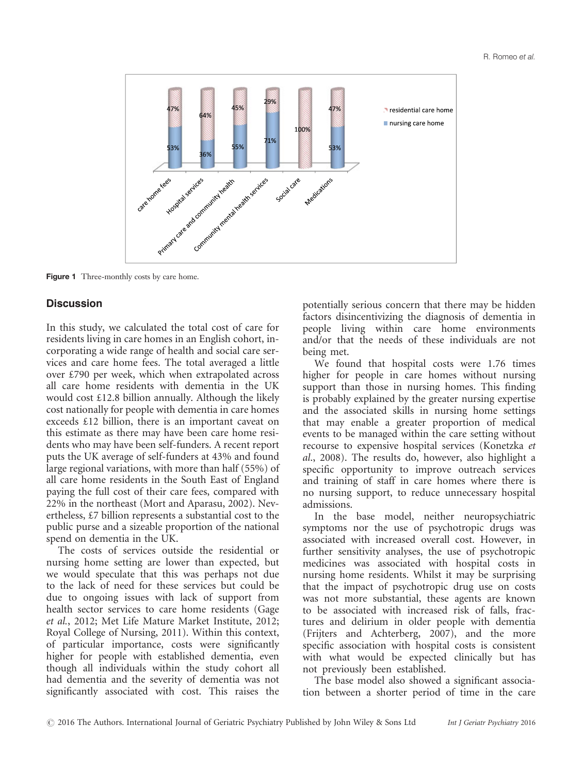

Figure 1 Three-monthly costs by care home.

# **Discussion**

In this study, we calculated the total cost of care for residents living in care homes in an English cohort, incorporating a wide range of health and social care services and care home fees. The total averaged a little over £790 per week, which when extrapolated across all care home residents with dementia in the UK would cost £12.8 billion annually. Although the likely cost nationally for people with dementia in care homes exceeds £12 billion, there is an important caveat on this estimate as there may have been care home residents who may have been self-funders. A recent report puts the UK average of self-funders at 43% and found large regional variations, with more than half (55%) of all care home residents in the South East of England paying the full cost of their care fees, compared with 22% in the northeast (Mort and Aparasu, 2002). Nevertheless, £7 billion represents a substantial cost to the public purse and a sizeable proportion of the national spend on dementia in the UK.

The costs of services outside the residential or nursing home setting are lower than expected, but we would speculate that this was perhaps not due to the lack of need for these services but could be due to ongoing issues with lack of support from health sector services to care home residents (Gage et al., 2012; Met Life Mature Market Institute, 2012; Royal College of Nursing, 2011). Within this context, of particular importance, costs were significantly higher for people with established dementia, even though all individuals within the study cohort all had dementia and the severity of dementia was not significantly associated with cost. This raises the

potentially serious concern that there may be hidden factors disincentivizing the diagnosis of dementia in people living within care home environments and/or that the needs of these individuals are not being met.

We found that hospital costs were 1.76 times higher for people in care homes without nursing support than those in nursing homes. This finding is probably explained by the greater nursing expertise and the associated skills in nursing home settings that may enable a greater proportion of medical events to be managed within the care setting without recourse to expensive hospital services (Konetzka et al., 2008). The results do, however, also highlight a specific opportunity to improve outreach services and training of staff in care homes where there is no nursing support, to reduce unnecessary hospital admissions.

In the base model, neither neuropsychiatric symptoms nor the use of psychotropic drugs was associated with increased overall cost. However, in further sensitivity analyses, the use of psychotropic medicines was associated with hospital costs in nursing home residents. Whilst it may be surprising that the impact of psychotropic drug use on costs was not more substantial, these agents are known to be associated with increased risk of falls, fractures and delirium in older people with dementia (Frijters and Achterberg, 2007), and the more specific association with hospital costs is consistent with what would be expected clinically but has not previously been established.

The base model also showed a significant association between a shorter period of time in the care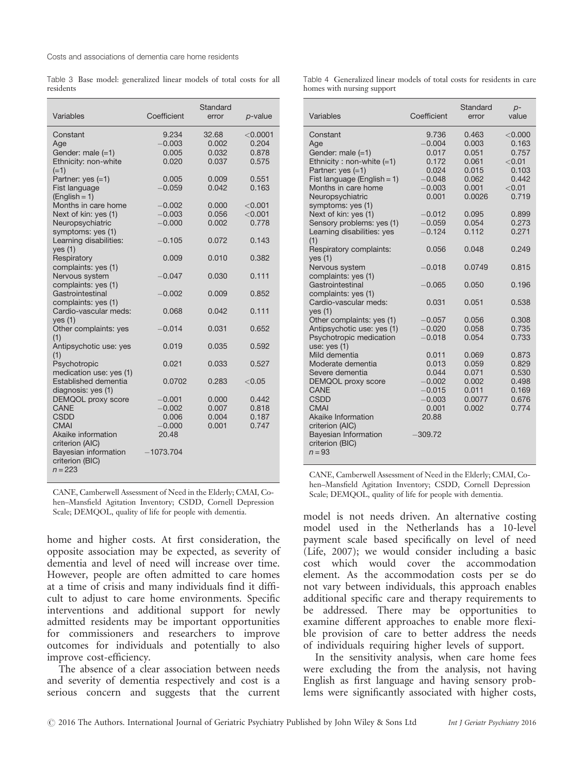Costs and associations of dementia care home residents

Table 3 Base model: generalized linear models of total costs for all residents

|                         |             | Standard |            |
|-------------------------|-------------|----------|------------|
| Variables               | Coefficient | error    | $p$ -value |
| Constant                | 9.234       | 32.68    | < 0.0001   |
| Age                     | $-0.003$    | 0.002    | 0.204      |
| Gender: male $(=1)$     | 0.005       | 0.032    | 0.878      |
| Ethnicity: non-white    | 0.020       | 0.037    | 0.575      |
| $(=1)$                  |             |          |            |
| Partner: yes (=1)       | 0.005       | 0.009    | 0.551      |
| Fist language           | $-0.059$    | 0.042    | 0.163      |
| $(English = 1)$         |             |          |            |
| Months in care home     | $-0.002$    | 0.000    | < 0.001    |
| Next of kin: yes (1)    | $-0.003$    | 0.056    | < 0.001    |
| Neuropsychiatric        | $-0.000$    | 0.002    | 0.778      |
| symptoms: yes (1)       |             |          |            |
| Learning disabilities:  | $-0.105$    | 0.072    | 0.143      |
| yes(1)                  |             |          |            |
| Respiratory             | 0.009       | 0.010    | 0.382      |
| complaints: yes (1)     |             |          |            |
| Nervous system          | $-0.047$    | 0.030    | 0.111      |
| complaints: yes (1)     |             |          |            |
| Gastrointestinal        | $-0.002$    | 0.009    | 0.852      |
| complaints: yes (1)     |             |          |            |
| Cardio-vascular meds:   | 0.068       | 0.042    | 0.111      |
| yes(1)                  |             |          |            |
| Other complaints: yes   | $-0.014$    | 0.031    | 0.652      |
| (1)                     |             |          |            |
| Antipsychotic use: yes  | 0.019       | 0.035    | 0.592      |
| (1)                     |             |          |            |
| Psychotropic            | 0.021       | 0.033    | 0.527      |
| medication use: yes (1) |             |          |            |
| Established dementia    | 0.0702      | 0.283    | < 0.05     |
| diagnosis: yes (1)      |             |          |            |
| DEMQOL proxy score      | $-0.001$    | 0.000    | 0.442      |
| CANE                    | $-0.002$    | 0.007    | 0.818      |
| <b>CSDD</b>             | 0.006       | 0.004    | 0.187      |
| <b>CMAI</b>             | $-0.000$    | 0.001    | 0.747      |
| Akaike information      | 20.48       |          |            |
| criterion (AIC)         |             |          |            |
| Bayesian information    | $-1073.704$ |          |            |
| criterion (BIC)         |             |          |            |
| $n = 223$               |             |          |            |

CANE, Camberwell Assessment of Need in the Elderly; CMAI, Cohen–Mansfield Agitation Inventory; CSDD, Cornell Depression Scale; DEMQOL, quality of life for people with dementia.

home and higher costs. At first consideration, the opposite association may be expected, as severity of dementia and level of need will increase over time. However, people are often admitted to care homes at a time of crisis and many individuals find it difficult to adjust to care home environments. Specific interventions and additional support for newly admitted residents may be important opportunities for commissioners and researchers to improve outcomes for individuals and potentially to also improve cost-efficiency.

The absence of a clear association between needs and severity of dementia respectively and cost is a serious concern and suggests that the current Table 4 Generalized linear models of total costs for residents in care homes with nursing support

| Variables                                      | Coefficient    | Standard<br>error | $D -$<br>value |
|------------------------------------------------|----------------|-------------------|----------------|
| Constant                                       | 9.736          | 0.463             | < 0.000        |
| Age                                            | $-0.004$       | 0.003             | 0.163          |
| Gender: male (=1)                              | 0.017          | 0.051             | 0.757          |
| Ethnicity : non-white $(=1)$                   | 0.172          | 0.061             | < 0.01         |
| Partner: yes (=1)                              | 0.024          | 0.015             | 0.103          |
| Fist language (English = $1$ )                 | $-0.048$       | 0.062             | 0.442          |
| Months in care home                            | $-0.003$       | 0.001             | < 0.01         |
| Neuropsychiatric                               | 0.001          | 0.0026            | 0.719          |
| symptoms: yes (1)                              |                |                   |                |
| Next of kin: yes (1)                           | $-0.012$       | 0.095             | 0.899          |
| Sensory problems: yes (1)                      | $-0.059$       | 0.054             | 0.273          |
| Learning disabilities: yes                     | $-0.124$       | 0.112             | 0.271          |
| (1)                                            |                |                   |                |
| Respiratory complaints:                        | 0.056          | 0.048             | 0.249          |
| yes(1)                                         |                |                   |                |
| Nervous system                                 | $-0.018$       | 0.0749            | 0.815          |
| complaints: yes (1)                            |                |                   |                |
| Gastrointestinal                               | $-0.065$       | 0.050             | 0.196          |
| complaints: yes (1)                            |                |                   |                |
| Cardio-vascular meds:                          | 0.031          | 0.051             | 0.538          |
| yes(1)                                         |                |                   |                |
| Other complaints: yes (1)                      | $-0.057$       | 0.056             | 0.308          |
| Antipsychotic use: yes (1)                     | $-0.020$       | 0.058             | 0.735          |
| Psychotropic medication                        | $-0.018$       | 0.054             | 0.733          |
| use: $ves(1)$                                  |                |                   |                |
| Mild dementia                                  | 0.011          | 0.069             | 0.873          |
| Moderate dementia                              | 0.013          | 0.059             | 0.829          |
| Severe dementia                                | 0.044          | 0.071             | 0.530          |
| DEMQOL proxy score                             | $-0.002$       | 0.002             | 0.498          |
| CANE<br><b>CSDD</b>                            | $-0.015$       | 0.011             | 0.169<br>0.676 |
| <b>CMAI</b>                                    | $-0.003$       | 0.0077<br>0.002   | 0.774          |
| Akaike Information                             | 0.001<br>20.88 |                   |                |
|                                                |                |                   |                |
| criterion (AIC)<br><b>Bayesian Information</b> | $-309.72$      |                   |                |
| criterion (BIC)                                |                |                   |                |
| $n = 93$                                       |                |                   |                |
|                                                |                |                   |                |

CANE, Camberwell Assessment of Need in the Elderly; CMAI, Cohen–Mansfield Agitation Inventory; CSDD, Cornell Depression Scale; DEMQOL, quality of life for people with dementia.

model is not needs driven. An alternative costing model used in the Netherlands has a 10-level payment scale based specifically on level of need (Life, 2007); we would consider including a basic cost which would cover the accommodation element. As the accommodation costs per se do not vary between individuals, this approach enables additional specific care and therapy requirements to be addressed. There may be opportunities to examine different approaches to enable more flexible provision of care to better address the needs of individuals requiring higher levels of support.

In the sensitivity analysis, when care home fees were excluding the from the analysis, not having English as first language and having sensory problems were significantly associated with higher costs,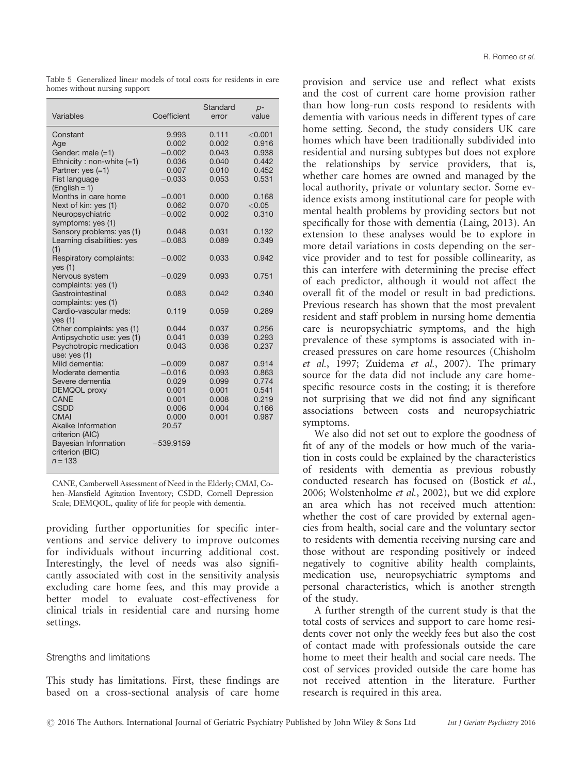Table 5 Generalized linear models of total costs for residents in care homes without nursing support

| Variables                    | Coefficient | Standard<br>error | $p-$<br>value |
|------------------------------|-------------|-------------------|---------------|
| Constant                     | 9.993       | 0.111             | < 0.001       |
| Age                          | 0.002       | 0.002             | 0.916         |
| Gender: male (=1)            | $-0.002$    | 0.043             | 0.938         |
| Ethnicity : non-white $(=1)$ | 0.036       | 0.040             | 0.442         |
| Partner: $yes (=1)$          | 0.007       | 0.010             | 0.452         |
| Fist language                | $-0.033$    | 0.053             | 0.531         |
| $(English = 1)$              |             |                   |               |
| Months in care home          | $-0.001$    | 0.000             | 0.168         |
| Next of kin: yes (1)         | 0.062       | 0.070             | < 0.05        |
| Neuropsychiatric             | $-0.002$    | 0.002             | 0.310         |
| symptoms: yes (1)            |             |                   |               |
| Sensory problems: yes (1)    | 0.048       | 0.031             | 0.132         |
| Learning disabilities: yes   | $-0.083$    | 0.089             | 0.349         |
| (1)                          |             |                   |               |
| Respiratory complaints:      | $-0.002$    | 0.033             | 0.942         |
| yes(1)                       |             |                   |               |
| Nervous system               | $-0.029$    | 0.093             | 0.751         |
| complaints: yes (1)          |             |                   |               |
| Gastrointestinal             | 0.083       | 0.042             | 0.340         |
| complaints: yes (1)          |             |                   |               |
| Cardio-vascular meds:        | 0.119       | 0.059             | 0.289         |
| yes(1)                       |             |                   |               |
| Other complaints: yes (1)    | 0.044       | 0.037             | 0.256         |
| Antipsychotic use: yes (1)   | 0.041       | 0.039             | 0.293         |
| Psychotropic medication      | 0.043       | 0.036             | 0.237         |
| use: $yes(1)$                |             |                   |               |
| Mild dementia:               | $-0.009$    | 0.087             | 0.914         |
| Moderate dementia            | $-0.016$    | 0.093             | 0.863         |
| Severe dementia              | 0.029       | 0.099             | 0.774         |
| DEMQOL proxy                 | 0.001       | 0.001             | 0.541         |
| <b>CANE</b>                  | 0.001       | 0.008             | 0.219         |
| <b>CSDD</b>                  | 0.006       | 0.004             | 0.166         |
| <b>CMAI</b>                  | 0.000       | 0.001             | 0.987         |
| Akaike Information           | 20.57       |                   |               |
| criterion (AIC)              |             |                   |               |
| <b>Bayesian Information</b>  | -539.9159   |                   |               |
| criterion (BIC)              |             |                   |               |
| $n = 133$                    |             |                   |               |

CANE, Camberwell Assessment of Need in the Elderly; CMAI, Cohen–Mansfield Agitation Inventory; CSDD, Cornell Depression Scale; DEMQOL, quality of life for people with dementia.

providing further opportunities for specific interventions and service delivery to improve outcomes for individuals without incurring additional cost. Interestingly, the level of needs was also significantly associated with cost in the sensitivity analysis excluding care home fees, and this may provide a better model to evaluate cost-effectiveness for clinical trials in residential care and nursing home settings.

#### Strengths and limitations

This study has limitations. First, these findings are based on a cross-sectional analysis of care home

provision and service use and reflect what exists and the cost of current care home provision rather than how long-run costs respond to residents with dementia with various needs in different types of care home setting. Second, the study considers UK care homes which have been traditionally subdivided into residential and nursing subtypes but does not explore the relationships by service providers, that is, whether care homes are owned and managed by the local authority, private or voluntary sector. Some evidence exists among institutional care for people with mental health problems by providing sectors but not specifically for those with dementia (Laing, 2013). An extension to these analyses would be to explore in more detail variations in costs depending on the service provider and to test for possible collinearity, as this can interfere with determining the precise effect of each predictor, although it would not affect the overall fit of the model or result in bad predictions. Previous research has shown that the most prevalent resident and staff problem in nursing home dementia care is neuropsychiatric symptoms, and the high prevalence of these symptoms is associated with increased pressures on care home resources (Chisholm et al., 1997; Zuidema et al., 2007). The primary source for the data did not include any care homespecific resource costs in the costing; it is therefore not surprising that we did not find any significant associations between costs and neuropsychiatric symptoms.

We also did not set out to explore the goodness of fit of any of the models or how much of the variation in costs could be explained by the characteristics of residents with dementia as previous robustly conducted research has focused on (Bostick et al., 2006; Wolstenholme et al., 2002), but we did explore an area which has not received much attention: whether the cost of care provided by external agencies from health, social care and the voluntary sector to residents with dementia receiving nursing care and those without are responding positively or indeed negatively to cognitive ability health complaints, medication use, neuropsychiatric symptoms and personal characteristics, which is another strength of the study.

A further strength of the current study is that the total costs of services and support to care home residents cover not only the weekly fees but also the cost of contact made with professionals outside the care home to meet their health and social care needs. The cost of services provided outside the care home has not received attention in the literature. Further research is required in this area.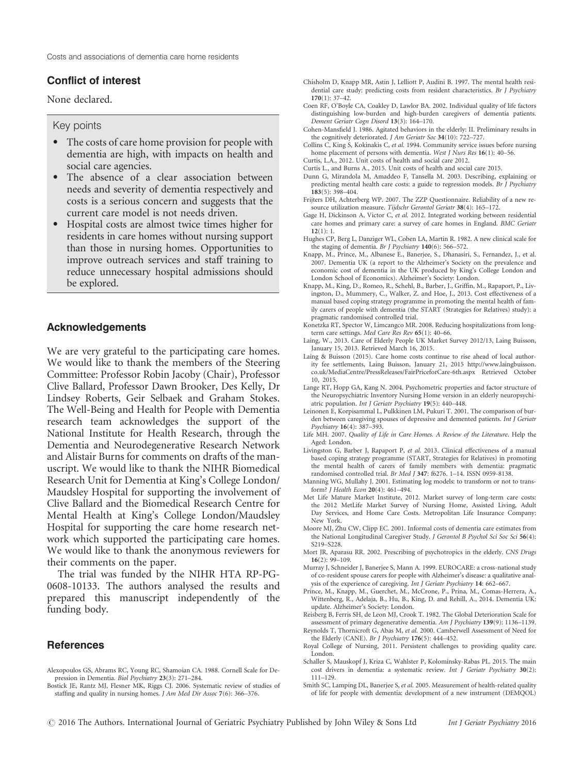# Conflict of interest

None declared.

#### Key points

- The costs of care home provision for people with dementia are high, with impacts on health and social care agencies.
- The absence of a clear association between needs and severity of dementia respectively and costs is a serious concern and suggests that the current care model is not needs driven.
- Hospital costs are almost twice times higher for residents in care homes without nursing support than those in nursing homes. Opportunities to improve outreach services and staff training to reduce unnecessary hospital admissions should be explored.

#### Acknowledgements

We are very grateful to the participating care homes. We would like to thank the members of the Steering Committee: Professor Robin Jacoby (Chair), Professor Clive Ballard, Professor Dawn Brooker, Des Kelly, Dr Lindsey Roberts, Geir Selbaek and Graham Stokes. The Well-Being and Health for People with Dementia research team acknowledges the support of the National Institute for Health Research, through the Dementia and Neurodegenerative Research Network and Alistair Burns for comments on drafts of the manuscript. We would like to thank the NIHR Biomedical Research Unit for Dementia at King's College London/ Maudsley Hospital for supporting the involvement of Clive Ballard and the Biomedical Research Centre for Mental Health at King's College London/Maudsley Hospital for supporting the care home research network which supported the participating care homes. We would like to thank the anonymous reviewers for their comments on the paper.

The trial was funded by the NIHR HTA RP-PG-0608-10133. The authors analysed the results and prepared this manuscript independently of the funding body.

# **References**

Bostick JE, Rantz MJ, Flesner MK, Riggs CJ. 2006. Systematic review of studies of staffing and quality in nursing homes. J Am Med Dir Assoc 7(6): 366–376.

- Chisholm D, Knapp MR, Astin J, Lelliott P, Audini B. 1997. The mental health residential care study: predicting costs from resident characteristics. Br J Psychiatry  $170(1): 37-42.$
- Coen RF, O'Boyle CA, Coakley D, Lawlor BA. 2002. Individual quality of life factors distinguishing low-burden and high-burden caregivers of dementia patients. Dement Geriatr Cogn Disord 13(3): 164–170.
- Cohen-Mansfield J. 1986. Agitated behaviors in the elderly: II. Preliminary results in the cognitively deteriorated. J Am Geriatr Soc 34(10): 722–727.
- Collins C, King S, Kokinakis C, et al. 1994. Community service issues before nursing home placement of persons with dementia. West I Nurs Res 16(1): 40–56.
- Curtis, L.A., 2012. Unit costs of health and social care 2012. Curtis L., and Burns A., 2015. Unit costs of health and social care 2015.
- 
- Dunn G, Mirandola M, Amaddeo F, Tansella M. 2003. Describing, explaining or predicting mental health care costs: a guide to regression models. Br J Psychiatry  $183(5) \cdot 398 - 404$
- Frijters DH, Achterberg WP. 2007. The ZZP Questionnaire. Reliability of a new resource utilization measure. Tijdschr Gerontol Geriatr 38(4): 165–172.
- Gage H, Dickinson A, Victor C, et al. 2012. Integrated working between residential care homes and primary care: a survey of care homes in England. BMC Geriatr 12(1): 1.
- Hughes CP, Berg L, Danziger WL, Coben LA, Martin R. 1982. A new clinical scale for the staging of dementia. Br J Psychiatry 140(6): 566–572.
- Knapp, M., Prince, M., Albanese E., Banerjee, S., Dhanasiri, S., Fernandez, J., et al. 2007. Dementia UK (a report to the Alzheimer's Society on the prevalence and economic cost of dementia in the UK produced by King's College London and London School of Economics). Alzheimer's Society: London.
- Knapp, M., King, D., Romeo, R., Schehl, B., Barber, J., Griffin, M., Rapaport, P., Livingston, D., Mummery, C., Walker, Z. and Hoe, J., 2013. Cost effectiveness of a manual based coping strategy programme in promoting the mental health of family carers of people with dementia (the START (Strategies for Relatives) study): a pragmatic randomised controlled trial.
- Konetzka RT, Spector W, Limcangco MR. 2008. Reducing hospitalizations from longterm care settings. Med Care Res Rev 65(1): 40–66.
- Laing, W., 2013. Care of Elderly People UK Market Survey 2012/13, Laing Buisson, January 15, 2013. Retrieved March 16, 2015.
- Laing & Buisson (2015). Care home costs continue to rise ahead of local authority fee settlements, Laing Buisson, January 21, 2015 http://www.laingbuisson. co.uk/MediaCentre/PressReleases/FairPriceforCare-6th.aspx Retrieved October 10, 2015.
- Lange RT, Hopp GA, Kang N. 2004. Psychometric properties and factor structure of the Neuropsychiatric Inventory Nursing Home version in an elderly neuropsychiatric population. Int J Geriatr Psychiatry 19(5): 440–448.
- Leinonen E, Korpisammal L, Pulkkinen LM, Pukuri T. 2001. The comparison of burden between caregiving spouses of depressive and demented patients. Int J Geriatr Psychiatry 16(4): 387–393.
- Life MH. 2007. Quality of Life in Care Homes. A Review of the Literature. Help the Aged: London.
- Livingston G, Barber J, Rapaport P, et al. 2013. Clinical effectiveness of a manual based coping strategy programme (START, Strategies for Relatives) in promoting the mental health of carers of family members with dementia: pragmatic randomised controlled trial. Br Med J 347: f6276. 1–14. ISSN 0959-8138.
- Manning WG, Mullahy J. 2001. Estimating log models: to transform or not to transform? J Health Econ 20(4): 461–494.
- Met Life Mature Market Institute, 2012. Market survey of long-term care costs: the 2012 MetLife Market Survey of Nursing Home, Assisted Living, Adult Day Services, and Home Care Costs. Metropolitan Life Insurance Company: New York.
- Moore MJ, Zhu CW, Clipp EC. 2001. Informal costs of dementia care estimates from the National Longitudinal Caregiver Study. J Gerontol B Psychol Sci Soc Sci 56(4): S219–S228.
- Mort JR, Aparasu RR. 2002. Prescribing of psychotropics in the elderly. CNS Drugs  $16(2): 99-109.$
- Murray J, Schneider J, Banerjee S, Mann A. 1999. EUROCARE: a cross-national study of co-resident spouse carers for people with Alzheimer's disease: a qualitative analysis of the experience of caregiving. Int J Geriatr Psychiatry 14: 662-667.
- Prince, M., Knapp, M., Guerchet, M., McCrone, P., Prina, M., Comas-Herrera, A., Wittenberg, R., Adelaja, B., Hu, B., King, D. and Rehill, A., 2014. Dementia UK: update. Alzheimer's Society: London.
- Reisberg B, Ferris SH, de Leon MJ, Crook T. 1982. The Global Deterioration Scale for assessment of primary degenerative dementia. Am J Psychiatry 139(9): 1136–1139.
- Reynolds T, Thornicroft G, Abas M, et al. 2000. Camberwell Assessment of Need for the Elderly (CANE). Br J Psychiatry 176(5): 444-452.
- Royal College of Nursing, 2011. Persistent challenges to providing quality care. London.
- Schaller S, Mauskopf J, Kriza C, Wahlster P, Kolominsky-Rabas PL. 2015. The main cost drivers in dementia: a systematic review. Int J Geriatr Psychiatry 30(2): 111–129.
- Smith SC, Lamping DL, Banerjee S, et al. 2005. Measurement of health-related quality of life for people with dementia: development of a new instrument (DEMQOL)

Alexopoulos GS, Abrams RC, Young RC, Shamoian CA. 1988. Cornell Scale for Depression in Dementia. Biol Psychiatry 23(3): 271–284.